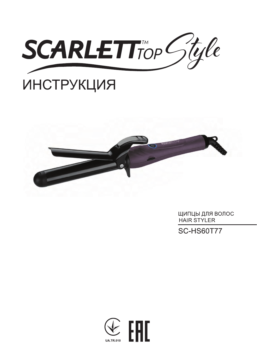

# **ИНСТРУКЦИЯ**



ЩИПЦЫ ДЛЯ ВОЛОС HAIR STYLER

**SC-HS60T77** 

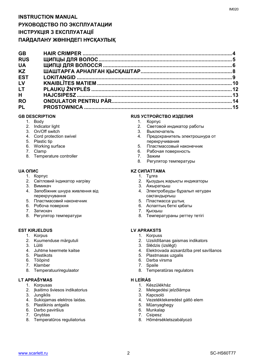| <b>GB</b>  |  |
|------------|--|
| <b>RUS</b> |  |
| <b>UA</b>  |  |
| <b>KZ</b>  |  |
| <b>EST</b> |  |
| LV         |  |
| <b>LT</b>  |  |
| H          |  |
| <b>RO</b>  |  |
| <b>PL</b>  |  |
|            |  |

- 1. Body
- 2. Indicator light
- 3. On/Off switch
- 4. Cord protection swivel
- 5. Plastic tip
- 6. Working surface
- 7. Clamp
- 8. Temperature controller

- 1. Корпус
- 2. Світловий індикатор нагріву
- 3. Вимикач
- 4. Запобіжник шнура живлення від перекручування
- 5. Пластмасовий наконечник
- 6. Робоча поверхня
- 7. Затискач
- 8. Регулятор температури

#### **EST KIRJELDUS LV APRAKSTS**

- 1. Korpus
- 2. Kuumenduse märgutuli
- 3. Lüliti
- 4. Juhtme keermete kaitse
- 5. Plastikots
- 6. Tööpind
- 7. Klamber
- 8. Temperatuuriregulaator

#### **LT APRAŠYMAS H LEÍRÁS**

- 1. Korpusas
- 2. Įkaitimo šviesos indikatorius
- 3. Jungiklis
- 4. Sukiojamas elektros laidas.
- 5. Plastikinis antgalis
- 6. Darbo paviršius
- 7. Gnybtas
- 8. Temperatūros reguliatorius

#### **GB DESCRIPTION RUS УСТРОЙСТВО ИЗДЕЛИЯ**

- 1. Корпус
- 2. Световой индикатор работы
- 3. Выключатель
- 4. Предохранитель электрошнура от перекручивания
- 5. Пластмасcовый наконечник
- 6. Рабочая поверхность
- 7. Зажим
- 8. Регулятор температуры

#### **UA ОПИС KZ СИПАТТАМА**

- 1. Тұлға
- 2. Қызудың жарықты индикаторы
- 3. Ажыратқыш
- 4. Электробауды бұралып кетуден сақтандырғыш
- 5. Пластмасcа ұштық
- 6. Аспаптың беткі қабаты
- 7. Қысқыш
- 8. Температураны реттеу тетігі

- 1. Korpuss
- 2. Uzsildīšanas gaismas indikators
- 3. Slēdzis (izslēgt)
- 4. Elektrovada aizsardzība pret savīšanos
- 5. Plastmasas uzgalis
- 6. Darba virsma
- 7. Spaile
- 8. Temperatūras regulators

- 1. Készülékház
- 2. Melegedési jelzőlámpa
- 3. Kapcsoló
- 4. Vezetéktekeredést gátló elem
- 5. Műanyaghegy
- 6. Munkalap
- 7. Csipesz
- 8. Hőmérsékletszabályozó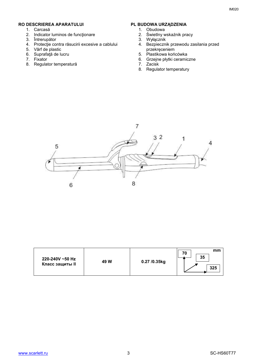#### **RO DESCRIEREA APARATULUI PL BUDOWA URZĄDZENIA**

- 1. Carcasă
- 2. Indicator luminos de funcţionare
- 3. Întrerupător
- 4. Protecţie contra răsucirii excesive a cablului
- 5. Vârf de plastic
- 6. Suprafaţă de lucru
- 7. Fixator
- 8. Regulator temperatură

- 1. Obudowa
- 2. Świetlny wskaźnik pracy
- 3. Wyłącznik
- 4. Bezpiecznik przewodu zasilania przed przekręceniem
- 5. Plastikowa końcówka
- 6. Grzejne płytki ceramiczne
- 7. Zacisk
- 8. Regulator temperatury



| 220-240V ~50 Hz<br>Класс защиты II | 49 W | 0.27 /0.35kg | mm<br>70<br>35<br>325 |
|------------------------------------|------|--------------|-----------------------|
|------------------------------------|------|--------------|-----------------------|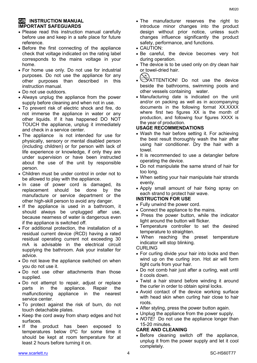#### **GB** INSTRUCTION MANUAL **IMPORTANT SAFEGUARDS**

- Please read this instruction manual carefully before use and keep in a safe place for future reference.
- Before the first connecting of the appliance check that voltage indicated on the rating label corresponds to the mains voltage in your home.
- For home use only. Do not use for industrial purposes. Do not use the appliance for any other purposes than described in this instruction manual.
- Do not use outdoors.
- Always unplug the appliance from the power supply before cleaning and when not in use.
- To prevent risk of electric shock and fire, do not immerse the appliance in water or any other liquids. If it has happened DO NOT TOUCH the appliance, unplug it immediately and check in a service center.
- The appliance is not intended for use for [physically, sensory or mental disabled](https://www.multitran.ru/c/m.exe?t=5841801_1_2&s1=%F7%E5%EB%EE%E2%E5%EA%20%F1%20%EE%E3%F0%E0%ED%E8%F7%E5%ED%ED%FB%EC%E8%20%E2%EE%E7%EC%EE%E6%ED%EE%F1%F2%FF%EC%E8) person (including children) or for person with lack of life experience or knowledge, if only they are under supervision or have been instructed about the use of the unit by responsible person.
- Children must be under control in order not to be allowed to play with the appliance.
- In case of power cord is damaged, its replacement should be done by the manufacture or service department or the other high-skill person to avoid any danger.
- If the appliance is used in a bathroom, it should always be unplugged after use, because nearness of water is dangerous even if the appliance is switched off.
- For additional protection, the installation of a residual current device (RCD) having a rated residual operating current not exceeding 30 mA is advisable in the electrical circuit supplying the bathroom. Ask your installer for advice.
- Do not leave the appliance switched on when you do not use it.
- Do not use other attachments than those supplied.
- Do not attempt to repair, adjust or replace parts in the appliance. Repair the malfunctioning appliance in the nearest service center.
- To protect against the risk of burn, do not touch detachable plates.
- Keep the cord away from sharp edges and hot surfaces.
- If the product has been exposed to temperatures below 0ºC for some time it should be kept at room temperature for at least 2 hours before turning it on.
- The manufacturer reserves the right to introduce minor changes into the product design without prior notice, unless such changes influence significantly the product safety, performance, and functions.
- CAUTION:
- Be careful, the device becomes very hot during operation.
- The device is to be used only on dry clean hair or towel-dried hair.
- ATTENTION! Do not use the device beside the bathrooms, swimming pools and other vessels containing water.
- Manufacturing date is indicated on the unit and/or on packing as well as in accompanying documents in the following format XX.XXXX where first two figures XX is the month of production, and following four figures XXXX is the year of production.

#### **USAGE RECOMMENDATIONS**

- Wash the hair before setting it. For achieving the best result thoroughly wash the hair after using hair conditioner. Dry the hair with a towel.
- It is recommended to use a detangler before operating the device.
- Do not manipulate the same strand of hair for too long.
- When setting your hair manipulate hair strands evenly.
- Apply small amount of hair fixing spray on each strand to protect hair wave.

#### **INSTRUCTION FOR USE**

- Fully unwind the power cord.
- Connect the appliance to the mains.
- Press the power button, while the indicator light around the button will flicker.
- Temperature controller to set the desired temperature to straighten.
- When reaching the preset temperature indicator will stop blinking.

CURLING

- For curling divide your hair into locks and then wind up on the curling iron. Hot air will form tight curls from your hair.
- Do not comb hair just after a curling, wait until it cools down.
- Twist a hair strand before winding it around the curler in order to obtain spiral locks.
- Avoid contact of the device working surface with head skin when curling hair close to hair roots.
- After styling, press the power button again.
- Unplug the appliance from the power supply.
- *NOTE!* Do not use the appliance longer than 15-20 minutes.

#### **CARE AND CLEANING**

• Before cleaning switch off the appliance, unplug it from the power supply and let it cool completely.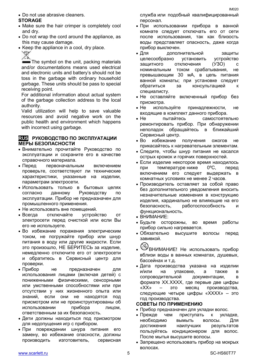Do not use abrasive cleaners.

### **STORAGE**

- Make sure the hair crimper is completely cool and dry.
- Do not wrap the cord around the appliance, as this may cause damage.
- Keep the appliance in a cool, dry place.

The symbol on the unit, packing materials and/or documentations means used electrical and electronic units and battery's should not be toss in the garbage with ordinary household garbage. These units should be pass to special receiving point.

For additional information about actual system of the garbage collection address to the local authority.

Valid utilization will help to save valuable resources and avoid negative work on the public health and environment which happens with incorrect using garbage.

#### **RUS РУКОВОДСТВО ПО ЭКСПЛУАТАЦИИ МЕРЫ БЕЗОПАСНОСТИ**

- Внимательно прочитайте Руководство по эксплуатации и сохраните его в качестве справочного материала.
- Перед первоначальным включением проверьте, соответствуют ли технические характеристики, указанные на изделии, параметрам электросети.
- Использовать только в бытовых целях согласно данному Руководству по эксплуатации. Прибор не предназначен для промышленного применения.
- Не использовать вне помешений.
- Всегда отключайте устройство от электросети перед очисткой или если Вы его не используете.
- Во избежание поражения электрическим током, не погружайте прибор или шнур питания в воду или другие жидкости. Если это произошло, НЕ БЕРИТЕСЬ за изделие, немедленно отключите его от электросети и обратитесь в Сервисный центр для проверки.
- Прибор не предназначен для использования лицами (включая детей) с пониженными физическими, сенсорными или умственными способностями или при отсутствии у них жизненного опыта или знаний, если они не находятся под присмотром или не проинструктированы об использовании прибора лицом, ответственным за их безопасность.
- Дети должны находиться под присмотром для недопущения игр с прибором.
- При повреждении шнура питания его замену, во избежание опасности, должны производить изготовитель, сервисная

служба или подобный квалифицированный персонал.

- При использовании прибора в ванной комнате следует отключать его от сети после использования, так как близость воды представляет опасность, даже когда прибор выключен.
- Для дополнительной защиты целесообразно установить устройство защитного отключения (УЗО) с номинальным током срабатывания, не превышающим 30 мА, в цепь питания ванной комнаты; при установке следует обратиться за консультацией к специалисту.
- Не оставляйте включенный прибор без присмотра.
- Не используйте принадлежности, не входящие в комплект данного прибора.
- Не пытайтесь самостоятельно ремонтировать прибор. При обнаружении неполадок обращайтесь в ближайший Сервисный центр.
- Во избежание получения ожогов не прикасайтесь к нагревательным элементам.
- Следите, чтобы шнур питания не касался острых кромок и горячих поверхностей.
- Если изделие некоторое время находилось при температуре ниже 0ºC, перед включением его следует выдержать в комнатных условиях не менее 2 часов.
- Производитель оставляет за собой право без дополнительного уведомления вносить незначительные изменения в конструкцию изделия, кардинально не влияющие на его безопасность, работоспособность и функциональность.
- ВНИМАНИЕ:
- Будьте осторожны, во время работы прибор сильно нагревается.
- Обязательно высушите волосы перед завивкой.
- **ВНИМАНИЕ!** Не использовать прибор вблизи воды в ванных комнатах, душевых, бассейнах и т.д.
- Дата производства указана на изделии и/или на упаковке, а также в сопроводительной документации, в формате XX.XXXX, где первые две цифры «XX» – это месяц производства, следующие четыре цифры «XXXX» – это год производства.

#### **СОВЕТЫ ПО ПРИМЕНЕНИЮ**

- Прибор предназначен для укладки волос.
- Прежде чем приступать к укладке, необходимо вымыть волосы. Для достижения наилучших результатов пользуйтесь кондиционером для волос. После мытья высушите волосы.
- Запрещено использовать прибор на мокрых волосах.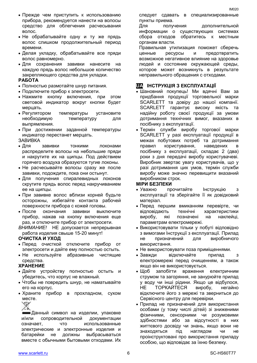- Прежде чем приступить к использованию прибора, рекомендуется нанести на волосы средство для облегчения расчесывания волос.
- Не обрабатывайте одну и ту же прядь волос слишком продолжительный период времени.
- Делая укладку, обрабатывайте все пряди волос равномерно.
- Для сохранения завивки нанесите на каждую прядь волос небольшое количество закрепляющего средства для укладки.

#### **РАБОТА**

- Полностью размотайте шнур питания.
- Подключите прибор к электросети.
- Нажмите кнопку включения, при этом световой индикатор вокруг кнопки будет мерцать.
- Регулятором температуры установите необходимую температуру для выпрямления.
- При достижении заданной температуры индикатор перестанет мерцать.

#### ЗАВИВКА

- Для в завивки тонкими поконами распределите волосы на небольшие пряди и накрутите их на щипцы. Под действием горячего воздуха образуются тугие локоны.
- Не расчесывайте волосы сразу же после завивки, подождите, пока они остынут.
- Для получения спиралевидных локонов скрутите прядь волос перед накручиванием ее на щипцы.
- При завивке волос вблизи корней будьте осторожны, избегайте контакта рабочей поверхности прибора с кожей головы.
- После окончания завивки выключите прибор, нажав на кнопку включения еще раз, и отключите прибор от электросети.

*ВНИМАНИЕ!* НЕ допускается непрерывная работа изделия свыше 15-20 минут!

#### **ОЧИСТКА И УХОД**

- Перед очисткой отключите прибор от электросети и дайте ему полностью остыть.
- Не используйте абразивные чистящие средства.

#### **ХРАНЕНИЕ**

- Дайте устройству полностью остыть и убедитесь, что корпус не влажный.
- Чтобы не повредить шнур, не наматывайте его на корпус.
- Храните прибор в прохладном, сухом месте.

Данный символ на изделии, упаковке и/или сопроводительной документации означает, что использованные электрические и электронные изделия и батарейки не должны выбрасываться вместе с обычными бытовыми отходами. Их следует сдавать в специализированные пункты приема.

Для получения дополнительной информации о существующих системах сбора отходов обратитесь к местным органам власти.

Правильная утилизация поможет сберечь ценные ресурсы и предотвратить возможное негативное влияние на здоровье людей и состояние окружающей среды, которое может возникнуть в результате неправильного обращения с отходами.

### **UA ІНСТРУКЦІЯ З ЕКСПЛУАТАЦІЇ**

- Шановний покупець! Ми вдячні Вам за придбання продукції торговельної марки SCARLETT та довіру до нашої компанії. SCARLETT гарантує високу якість та надійну роботу своєї продукції за умови дотримання технічних вимог, вказаних в посібнику з експлуатації.
- Термін служби виробу торгової марки SCARLETT у разі експлуатації продукції в межах побутових потреб та дотримання правил користування, наведених в посібнику з експлуатації, складає 2 (два) роки з дня передачі виробу користувачеві. Виробник звертає увагу користувачів, що у разі дотримання цих умов, термін служби виробу може значно перевищити вказаний виробником строк.

#### **МІРИ БЕЗПЕКИ**

- Уважно прочитайте Інструкцію з експлуатації та зберігайте її як довідковий матеріал.
- Перед першим вмиканням перевірте, чи відповідають технічні характеристики виробу, якi позначені на наклейці, параметрам електромережі.
- Використовувати тільки у побуті відповідно з вимогами Інструкції з експлуатації. Прилад не призначений для виробничого використання.
- Не використовувати поза приміщеннями.
- Завжди відключайте прилад з електромережі перед очищенням, а також якщо він не використовується.
- Шоб запобігти враження електричним струмом та загоряння, не занурюйте прилад у воду чи інші рідини. Якщо це відбулося, НЕ ТОРКАЙТЕСЯ виробу, негайно відключите його з мережі та зверниться до Сервісного центру для перевірки.
- Прилад не призначений для використання особами (у тому числі дітей) зі зниженими фізичними, сенсорними чи розумовими здібностями або за відсутності в них життєвого досвіду чи знань, якщо вони не знаходяться під наглядом чи не проінструктовані про використання приладу особою, що відповідає за їхню безпеку.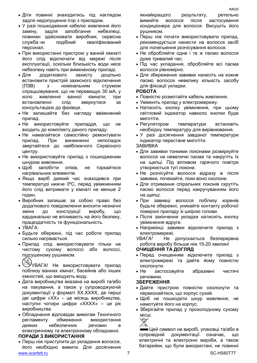- У разі пошкодження кабелю живлення його заміну, задля запобігання небезпеці, повинен здійснювати виробник, сервісна служба чи подібний кваліфікований персонал.
- При використанні пристрою у ванній кімнаті його слід відключати від мережі після експлуатації, оскільки близькість води несе небезпеку навіть при вимкненому приладі.
- Для додаткового захисту доцільно встановити пристрій захисного відключення (ПЗВ) з номінальним струмом спрацьовування, що не перевищує 30 мА, у коло живлення ванної кімнати; при встановленні слід звернутися за консультацією до фахівця.
- Не залишайте без нагляду ввімкнений прилад.
- Не використовуйте приладдя, що не входить до комплекту даного приладу.
- Не намагайтеся самостійно ремонтувати прилад. При виникненні неполадок звертайтеся до найближчого Сервісного центру.
- Не використовуйте прилад з пошкодженим шнуром живлення.
- Щоб запобігти опіків, не торкайтеся нагрівальних елементів.
- Якщо виріб деякий час знаходився при температурі нижче 0ºC, перед увімкненням його слід витримати у кімнаті не менше 2 годин.
- Виробник залишає за собою право без додаткового повідомлення вносити незначні зміни до конструкції виробу, що кардинально не впливають на його безпеку, працездатність та функціональність.
- УВАГА:
- Будьте обережні, під час роботи прилад сильно нагрівається.
- Прилад слід використовувати тільки на чистому сухому волоссі або волоссі, підсушеному рушником.
- УВАГА! Не використовувати прилад
- поблизу ванних кімнат, басейнів або інших ємностей, що вміщують воду.
- Дата виробництва вказана на виробі та/або на пакування, а також у супроводжуючій документації у форматі XX.XXXX, де перші дві цифри «XX» – це місяць виробництва, наступні чотири цифри «XXXX» – це рік виробництва.
- Обладнання відповідає вимогам Технічного регламенту обмеження використання деяких небезпечних речовин в електричному та електронному обладнанні.

### **ПОРАДИ З ВИКОРИСТАННЯ**

www.scarlett.ru SC-HS60T77 Перш ніж приступити до укладання волосся, його необхідно вимити. Для досягнення

якнайкращого результату, ретельно вимийте волосся після застосування кондиціонера для волосся. Висушіть його рушником.

- Перш ніж почати використовувати прилад, рекомендується нанести на волосся засіб для полегшення розчісування волосся.
- Не обробляйте одне і те ж пасмо волосся дуже тривалий час.
- Під час укладання, обробляйте всі пасма волосся рівномірно.
- Для збереження завивки нанесіть на кожне пасмо волосся невелику кількість засобу для фіксації укладки.

#### **РОБОТА**

- Повністю розмотайте кабель живлення.
- Увімкніть прилад у електромережу.
- Натисніть кнопку увімкнення, при цьому світловий індикатор навколо кнопки буде миготіти.
- Регулятором температури встановіть необхідну температуру для вирівнювання.
- У разі досягнення завданої температури індикатор перестане миготіти.
- ЗАВИВКА
- Для завивки тонкими локонами розміркуйте волосся на невеличкі пасма та накрутіть їх на щипці. Під впливом гарячого повітря утворюються тугі локони.
- Не розчісуйте волосся відразу ж після завивки, почекайте, поки воно охолоне.
- Для отримання спіральних локонів скрутіть пасмо волосся перед накручуванням його на щипці.
- При завивці волосся поблизу коренів будьте обережні, уникайте контакту робочої поверхні приладу зі шкірою голови.
- Після закінчення укладки натисніть кнопку увімкнення вдруге.
- Наприкінці завивки відключите прилад з електромережі.

*УВАГА!* Не допускається безперервна робота виробу більше нiж 15-20 хвилин!

#### **ОЧИЩЕННЯ ТА ДОГЛЯД**

- Перед очищенням відключите прилад з електромережі та дайте йому повністю охолонути.
- Не застосовуйте абразивні чистячі речовини.

#### **ЗБЕРЕЖЕННЯ**

- Дайте пристрою повністю охолонути та переконайтеся, що корпус сухий.
- Щоб не пошкодити шнур живлення, не намотуйте його на корпус.
- Зберігайте прилад у прохолодному сухому місці.



Цей символ на виробі, упаковці та/або в супровідній документації означає, що електричні та електронні вироби, а також батарейки, що були використані, не повинні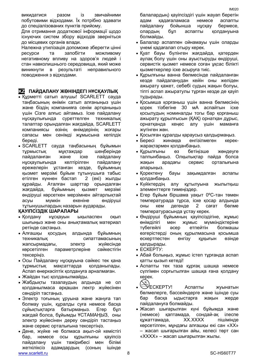Для отримання додаткової інформації щодо існуючих систем збору відходів зверніться до місцевих органів влади.

Належна утилізація допоможе зберегти цінні ресурси та запобігти можливому негативному впливу на здоров'я людей і стан навколишнього середовища, який може виникнути в результаті неправильного поводження з відходами.

### **KZ ПАЙДАЛАНУ ЖӨНІНДЕГІ НҰСҚАУЛЫҚ**

- Құрметті сатып алушы! SCARLETT сауда таңбасының өнімін сатып алғаныңыз үшін және біздің компанияға сенім артқаныңыз үшін Сізге алғыс айтамыз. Іске пайдалану нұсқаулығында суреттелген техникалық талаптар орындалған жағдайда, SCARLETT компаниясы өзінің өнімдерінің жоғары сапасы мен сенімді жұмысына кепілдік береді.
- SCARLETT сауда таңбасының бұйымын тұрмыстық мұқтаждар шеңберінде пайдаланған және іске пайдалану нұсқаулығында келтірілген пайдалану ережелерін ұстанған кезде, бұйымның қызмет мерзімі бұйым тұтынушыға табыс етілген күннен бастап 2 (екі) жылды құрайды. Аталған шарттар орындалған жағдайда, бұйымның қызмет мерзімі өндіруші көрсеткен мерзімнен айтарлықтай асуы мүмкін екеніне өндіруші тұтынушылардың назарын аударады.

#### **ҚАУІПСІЗДІК ШАРАЛАРЫ**

- Қолдану нұсқауын ықыласпен оқып шығыңыз және оны анықтамалық материал ретінде сақтаңыз.
- Алғашқы қосудың алдында бұйымның техникалық сипаттамасының жапсырмадағы, электр жүйесінде көрсетілген параметрлеріне сәйкестігін тексеріңіз.
- Осы Пайдалану нұсқауына сәйкес тек қана тұрмыстық мақсаттарда қолданылады. Аспап өнеркәсіптік қолдануға арналмаған.
- Жайдан тыс колданылмайды.
- Жабдықты тазалаудың алдында не ол қолданылмаса әрқашан лектр жүйесінен сөндіріп тастаңыз.
- Электр тоғының ұруына және жануға тап болмау үшін, құралды суға немесе басқа сұйықтықтарға батырмаңыз. Егер бұл жағдай болса, бұйымды ҰСТАМАҢЫЗ, оны электр жүйесінен дереу сөндіріп тастаңыз және сервис орталығына тексертіңіз.
- www.scarlett.ru 8 and 8 SC-HS60T77 Дене, жүйке не болмаса ақыл-ой кемістігі бар, немесе осы құрылғыны қауіпсіз пайдалану үшін тәжірибесі мен білімі жеткіліксіз адамдардың (соның ішінде

балалардың) қауіпсіздігі үшін жауап беретін адам қадағаламаса немесе аспапты<br>пайдалану бойынша нұсқау бермесе, пайдалану бойынша нұсқау бермесе, олардың бұл аспапты қолдануына болмайды.

- Балалар аспаппен ойнамауы үшін оларды үнемі қадағалап отыру керек.
- Қуат бауы бүлінген жағдайда, қатерден аулақ болу үшін оны ауыстыруды өндіруші, сервистік қызмет немесе соған ұқсас білікті қызметкерлер іске асыруға тиіс.
- Құрылғыны ванна бөлмесінде пайдаланған кезде пайдаланудан кейін оны желіден ажырату қажет, себебі судың жақын болуы, тіпті аспап ажыратулы тұрған кезде де қауіп тудырады.
- Қосымша қорғаныш үшін ванна бөлмесінің қорек тізбегіне 30 мА аспайтын іске қосылудың номиналды тогы бар қорғаныш ажырату құрылғысын (ҚАҚ) орнатқан дұрыс, орнатқанда кеңес алу үшін маманға жүгінген жөн.
- Қосылған құралды қараусыз қалдырмаңыз.
- Бересі жинаққа енгізілмеген керекжарақтармен қолданбаңыз.
- Құрылғыны өз бетіңізше жөндеуге талпынбаңыз. Олқылықтар пайда болса жақын арадағы сервис орталығына апарыңыз.
- Қоректену бауы зақымдалған аспапы қолданбаңыз.
- Күйіктердің алу құтылуына жылытқыш элементтерге тимеңіздер.
- Егер бұйым біршама уақыт 0ºC-тан төмен температурада тұрса, іске қосар алдында оны кем дегенде 2 сағат бөлме температурасында ұстау керек.
- Өндіруші бұйымның қауіпсіздігіне, жұмыс өнімділігі мен жұмыс мүмкіндіктеріне түбегейлі әсер етпейтін болмашы өзгерістерді оның құрылмасына қосымша ескертпестен енгізу құқығын өзінде қалдырады.
- ЕСКЕРТУ:
- Абай болыңыз, жұмыс істеп тұрғанда аспап қатты қызып кетеді!
- Аспапты тек таза құрғақ шашқа немесе сүлгімен сорғытылған шашқа ғана қолдану керек.
- ЕСКЕРТУ! Аспапты жуынатын бөлмелерге, бассейндерге және ішінде суы бар басқа ыдыстарға жақын жерде пайдалануға болмайды.
- Жасап шығарылған күні бұйымда және (немесе) қаптамада, сондай-ақ ілеспе құжаттамада, XX.XXXX пішімінде көрсетілген, мұндағы алғашқы екі сан «XX» – жасап шығарылған айы, келесі төрт сан «XXXX» – жасап шығарылған жылы.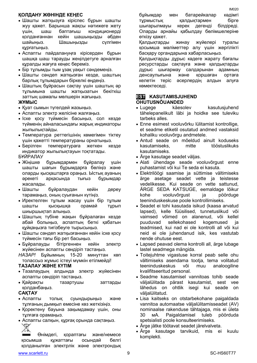#### **ҚОЛДАНУ ЖӨНІНДЕ КЕҢЕС**

- Шашты жатқызуға кіріспес бұрын шашты жуу қажет. Барынша жақсы нәтижеге жету үшін, шаш баптағыш кондиционерді қолданғаннан кейін шашыңызды әбден шайыңыз. Шашыңызды сүлгімен құрғатыңыз.
- Аспапты пайдалануңға кірісерден бұрын шашқа шаш тарауды жеңілдетуге арналған құралды жағуға кеңес береміз.
- Бір тұлымды тым ұзақ уақыт сәндемеңіз.
- Шашты сәндеп жатқызған кезде, шаштың барлық тұлымдарын біркелкі өңдеңіз.
- Шаштың бұйрасын сақтау үшін шаштың әр тұлымына шашты жатқызатын бекіткіш заттың шамалы мөлшерін жағыңыз.

#### **ЖҰМЫС**

- Куат сымын тугелдей жазыныз.
- Аспапты электр желісіне жалғаңыз.
- Іске қосу түймесін басыңыз, сол кезде түйменің айналасындағы жарық индикаторы жыпылықтайды.
- Температура реттегішінің көмегімен тіктеу үшін қажетті температураны орнатыңыз.
- Берілген температураға жеткен кезде индикатор жыпылықтауын тоқтатады.

#### БҰЙРАЛАУ

- Жіңішке бұрымдармен бұйралау үшін шашты шағын бұрымдарға бөліңіз және оларды қысқаштарға ораңыз. Ыстық ауаның әрекеті арқасында тығыз бұрымдар жасалады.
- Шашты бұйралаудан кейін дереу тарамаңыз, оның суығанын күтіңіз.
- Иректелген тұлым жасау үшін бір тұлым шашты қысқышқа орамай тұрып шиыршықтап алыңыз.
- Шаштың түбіне жақын бұйралаған кезде абай болыңыз, аспаптың беткі қабатын құйқаңызға тигізбеуге тырысыңыз.
- Шашты сәндеп жатқызғаннан кейін іске қосу түймесін тағы бір рет басыңыз.
- Бұйралауды бітіргеннен кейін электр жүйесінен аспапты сөндіріп тастаңыз.

*НАЗАР!* Бұйымның 15-20 минуттан көп толассыз жұмыс істеуі мүмкін етілмейді!

#### **ТАЗАЛАУ ЖӘНЕ КҮТІМ**

- Тазалаудың алдында электр жүйесінен аспапты сөндіріп тастаңыз.
- Қайрақты тазартушы заттарды қолданбаңыз.

#### **САҚТАУ**

- Аспапты толық суындырыңыз және тұлғаның дымқыл емесіне көз жеткізіңіз.
- Қоректену бауына зақымдамау үшін, оны тұлғаға орамаңыз.
- Аспапты салқын, құрғақ орында сақтаңыз.

 Өнімдегі, қораптағы және/немесе қосымша құжаттағы осындай белгі қолданылған электрлік және электрондық

www.scarlett.ru 8 November 2012 1 SC-HS60T77 3 November 2013 1 SC-HS60T77 3 November 2014 1 SC-HS60T77 3 November 2014 1 SC-HS60T77 3 November 2014 1 SC-HS60T77 3 November 2014 1 SC-HS60T77 3 November 2014 1 SC-HS60T77 3 N

бұйымдар мен батарейкалар кәдімгі тұрмыстық қалдықтармен бірге шығарылмауы керек дегенді білдіреді. Оларды арнайы қабылдау бөлімшелеріне өткізу қажет.

Қалдықтарды жинау жүйелері туралы қосымша мәліметтер алу үшін жергілікті басқару органдарына хабарласыңыз.

Қалдықтарды дұрыс кәдеге жарату бағалы ресурстарды сақтауға және қалдықтарды дұрыс шығармау салдарынан адамның денсаулығына және қоршаған ортаға келетін теріс әсерлердің алдын алуға көмектеседі.

## **EST KASUTAMISJUHEND OHUTUSNÕUANDED**<br>• Lugege käesd

- käesolev kasutusiuhend tähelepanelikult läbi ja hoidke see tuleviku tarbeks alles.
- Enne esimest vooluvõrku lülitamist kontrollige, et seadme etiketil osutatud andmed vastaksid kohaliku vooluvõrgu andmetele.
- Antud seade on mõeldud ainult koduseks kasutamiseks, mitte tööstuslikuks kasutamiseks.
- Ärge kasutage seadet väljas.
- Alati ühendage seade vooluvõrgust enne puhastamist või kui Te seda ei kasuta.
- Elektrilöögi saamise ja süttimise vältimiseks ärge asetage seadet vette ja teistesse vedelikesse. Kui seade on vette sattunud, ÄRGE SEDA KATSUGE, eemaldage lõikur kohe vooluvõrgust ja pöörduge teeninduskeskuse poole kontrollimiseks.
- Seadet ei tohi kasutada isikud (kaasa arvatud lapsed), kelle füüsilised, tunnetuslikud või vaimsed võimed on alanenud, või kellel puuduvad sellekohased kogemused ja teadmised, kui nad ei ole kontrolli all või kui neid ei ole juhendanud isik, kes vastutab nende ohutuse eest.
- Lapsed peavad olema kontrolli all, ärge lubage lastel seadmega mängida.
- Toitejuhtme vigastuse korral peab selle ohu vältimiseks asendama tootja, tema volitatud teeninduskeskus või muu analoogiline kvalifitseeritud personal.
- Seadme kasutamisel vannitoas tohib seade väljalülitada pärast kasutamist, sest vee lähedus on ohtlik isegi kui seade on väljalülitatud.
- Lisa kaitseks on otstarbekohane paigaldada vannitoa automaatse väljalülitamisseadet (AV) nominaalse rakenduse tähtajaga, mis ei ületa 30 мА. Paigaldamisel tuleb pöörduda spetsialisti poole konsulteerimiseks.
- Ärge jätke töötavat seadet järelvalveta.
- Ärge kasutage tarvikuid, mis ei kuulu komplekti.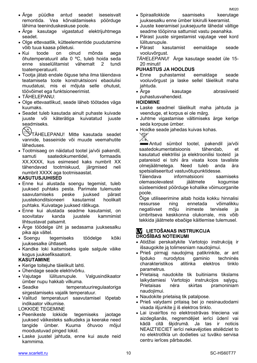- Ärge püüdke antud seadet iseseisvalt remontida. Vea kõrvaldamiseks pöörduge lähima teeninduskeskuse poole.
- Ärge kasutage vigastatud elektrijuhtmega seadet.
- Olge ettevaatlik, kütteelementide puudutamine võib tuua kaasa põletusi.
- Kui toode on olnud mõnda aega õhutemperatuuril alla 0 ºC, tuleb hoida seda enne sisselülitamist vähemalt 2 tundi toatemperatuuril.
- Tootja jätab endale õiguse teha ilma täiendava teatamiseta toote konstruktsiooni ebaolulisi muudatusi, mis ei mõjuta selle ohutust, töövõimet ega funktsioneerimist.
- TÄHELEPANU:
- Olge ettevaatlikud, seade läheb töötades väga kuumaks.
- Seadet tuleb kasutada ainult puhaste kuivade juuste või käterätiga kuivatatud juuste seadmiseks.<br> $\bigotimes_{\tau \text{KHFT}}$
- TÄHELEPANU! Mitte kasutada seadet vannide, basseinide või muude veemahutite läheduses.
- Tootmisaeg on näidatud tootel ja/või pakendil, samuti saatedokumentidel, formaadis XX.XXXX, kus esimesed kaks numbrit XX tähendavad tootmiskuud, järgmised neli numbrit XXXX aga tootmisaastat.

#### **KASUTUSJUHISED**

- Enne kui alustada soengu tegemist, tuleb juuksed puhtaks pesta. Parimate tulemuste saavutamiseks peske juuksed pärast juustekonditsioneeri kasutamist hoolikalt puhtaks. Kuivatage juuksed rätikuga.
- Enne kui alustada seadme kasutamist, on soovitatav kanda juustele kammimist lihtsustavat palsamit.
- Ärge töödelge üht ja sedasama juuksesalku pika aja vältel.
- Soengu tegemiseks töödelge kõiki juuksesalke ühtlaselt.
- Kandke loki kaitsmiseks igale salgule väike kogus juuksefiksaatorit.

#### **KASUTAMINE**

- Kerige toitejuhe täielikult lahti.
- Ühendage seade elektrivõrku.
- Vajutage lülitusnupule. Valgusindikaator ümber nupu hakkab vilkuma.
- Seadke temperatuuriregulaatoriga sirgestamiseks vajalik temperatuur.
- Valitud temperatuuri saavutamisel lõpetab indikaator vilkumise.
- LOKKIDE TEGEMINE
- Peenikeste lokkide tegemiseks jaotage juuksed väikesteks salkudeks ja keerake need tangide ümber. Kuuma õhuvoo mõjul moodustuvad pinged lokid.
- Laske juustel jahtuda, enne kui asute neid kammima.
- Spiraallokkide saamiseks keerutage juuksesalku enne ümber lokirulli keeramist.
- Juuste keeramisel juuksejuurte lähedal vältige seadme tööpinna sattumist vastu peanahka.
- Pärast juuste sirgestamist vajutage veel kord lülitusnupule.
- Pärast kasutamist eemaldage seade vooluvõrgust.
- *TÄHELEPANU!* Ärge kasutage seadet üle 15- 20 minuti!

#### **PUHASTUS JA HOOLDUS**

- Enne puhastamist eemaldage seade vooluvõrgust ja laske sellel täielikult maha jahtuda.
- Ärge kasutage abrasiivseid puhastusvahendeid.

#### **HOIDMINE**

- Laske seadmel täielikult maha jahtuda ja veenduge, et korpus ei ole märg.
- Juhtme vigastamise vältimiseks ärge kerige seda korpuse ümber.
- Hoidke seade jahedas kuivas kohas.<br>
→



Antud sümbol tootel, pakendil ja/või saatedokumentatsioonis tähendab, et kasutatud elektrilisi ja elektroonilisi tooteid ja patareisid ei tohi ära visata koos tavaliste olmejäätmetega. Need tuleb anda ära spetsialiseeritud vastuvõtupunktidesse.<br>Täiendava informatsiooni saa

informatsiooni saamiseks olemasolevatest jäätmete kogumise süsteemidest pöörduge kohalike võimuorganite poole.

Õige utiliseerimine aitab hoida kokku hinnalisi ressursse ning ennetada võimalikku negatiivset mõju inimeste tervisele ja ümbritseva keskkonna olukorrale, mis võib tekkida jäätmete ebaõige käitlemise tulemusel.

#### **LV LIETOŠANAS INSTRUKCIJA DROŠĪBAS NOTEIKUMI**

- Atidžiai perskaitykite Vartotojo instrukciją ir išsaugokite ją tolimesniam naudojimui.
- Prieš pirmąjį naudojimą patikrinkite, ar ant lipduko nurodytos gaminio charakteristikos atitinka elektros tinklo parametrus.
- Prietaisą naudokite tik buitiniams tikslams laikydamiesi Vartotojo instrukcijos sąlygų. Prietaisas nėra skirtas pramoniniam naudojimui.
- Naudokite prietaisa tik patalpose.
- Prieš valydami pritaisą bei jo nesinaudodami visada išjunkite jį iš elektros tinklo.
- Lai izvairītos no elektrostrāvas trieciena vai aizdegšanās, negremdējiet ierīci ūdenī vai kādā citā šķidrumā. Ja tas ir noticis NEAIZTIECIET ierīci nekavējoties atslēdziet to no elektrotīkla un dodieties uz tuvāko servisa centru ierīces pārbaudei.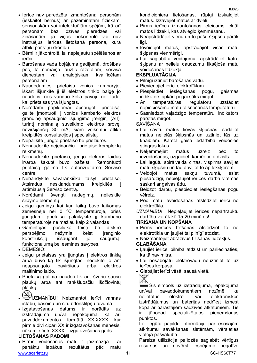- Bērni ir jākontrolē, lai nepieļautu spēlēšanos ar ierīci
- Barošanas vada bojājuma gadījumā, drošības pēc, tā nomaiņa jāuztic ražotājam, servisa dienestam vai analoģiskam kvalificētam personālam
- Naudodamiesi prietaisu vonios kambaryje, iškart išjunkite jį iš elektros tinklo baigę jo naudotis, nes vanduo kelia pavoju net tada, kai prietaisas yra išjungtas.
- Norėdami papildomai apsaugoti prietaisą, galite įmontuoti į vonios kambario elektros grandinę apsauginio išjungimo įrenginį (AIĮ), turintį nominalią suveikimo elektros srovę, neviršijančią 30 mA; šiam veiksmui atlikti kreipkitės konsultacijos į specialistą.
- Nepalikite įjungto prietaiso be priežiūros.
- Nenaudokite neįeinančių į prietaiso komplektą reikmenų.
- Nenaudokite prietaiso, jei jo elektros laidas ir/arba šakutė buvo pažeisti. Remontuoti prietaisą galima tik autorizuotame Serviso centre.
- Nebandykite savarankiškai taisyti prietaiso. Atsiradus nesklandumams kreipkitės į artimiausią Serviso centrą.
- Norėdami išvengti nudegimų, nelieskite šildymo elementų.
- Jeigu gaminys kai kurį laiką buvo laikomas žemesnėje nei 0 ºC temperatūroje, prieš įjungdami prietaisą palaikykite jį kambario temperatūroje ne mažiau kaip 2 valandas
- Gamintojas pasilieka teisę be atskiro perspėjimo nežymiai keisti įrenginio konstrukciją išsaugant jo saugumą, funkcionalumą bei esmines savybes.
- DĖMESIO:
- Jeigu prietaisas yra įjungtas į elektros tinklą arba buvo ką tik išjungtas, nedėkite jo ant neapsaugoto paviršiaus arba elektros maitinimo laido.
- Prietaisą galima naudoti tik ant švarių sausų plaukų arba ant rankšluosčiu išdžiovintų plaukų.
- UZMANĪBU! Neizmantot ierīci vannas istabu, baseinu un citu ūdenstilpņu tuvumā.
- Izgatavošanas datums ir norādīts uz izstrādājuma un/vai iepakojuma, kā arī pavaddokumentos, formātā XX.XXXX, kur pirmie divi cipari XX ir izgatavošanas mēnesis, nākamie četri XXXX – izgatavošanas gads.

#### **LIETOŠANAS PADOMI**

www.scarlett.ru 11 SC-HS60T77 Pirms veidošanas mati ir jāizmazgā. Lai panāktu labākus rezultātus pēc matu

kondicioniera lietošanas, rūpīgi izskalojiet matus. Izžāvējiet matus ar dvieli.

- Pirms ierīces izmantošanas ieteicams ieklāt matos līdzekli, kas atvieglo ķemmēšanu.
- Neapstrādājiet vienu un to pašu šķipsnu pārāk ilgi.
- Ieveidojot matus, apstrādājiet visas matu šķipsnas vienmērīgi.
- Lai saglabātu veidojumu, apstrādājiet katru šķipsnu ar nelielu daudzumu fiksējoša matu veidošanas līdzekļa.

#### **EKSPLUATĀCIJA**

- Pilnīgi iztiniet barošanas vadu.
- Pievienojiet ierīci elektrotīklam.
- Piespiediet ieslēgšanas pogu, gaismas indikators apkārt pogai sāks mirgot.
- Ar temperatūras regulatoru uzstādiet nepieciešamo matu taisnošanas temperatūru.
- Sasniedzot vajadzīgo temperatūru, indikators pārstās mirgot.
- SAVĪŠANA
- Lai savītu matus tievās šķipsnās, sadaliet matus nelielās šķipsnās un uztiniet tās uz knaiblēm. Karstā gaisa iedarbībā veidosies stingras lokas.
- Neķemmējiet matus uzreiz pēc to ieveidošanas, uzgaidiet, kamēr tie atdzisīs.
- Lai iegūtu spirālveida cirtas, vispirms savijiet matu šķipsnu un tad apvijiet to ap lokšķērēm.
- Veidojot matus sakņu tuvumā, esiet piesardzīgi, nepieļaujiet ierīces darba virsmas saskari ar galvas ādu.
- Beidzot darbu, piespiediet ieslēgšanas pogu vēlreiz.
- Pēc matu ieveidošanas atslēdziet ierīci no elektrotīkla.
- *UZMANĪBU!* Nepieļaujiet ierīces nepārtrauktu darbību vairāk kā 15-20 minūtes!

#### **TĪRĪŠANA UN KOPŠANA**

- Pirms ierīces tīrīšanas atslēdziet to no elektrotīkla un ļaujiet tai pilnīgī atdzist.
- Neizmantojiet abrazīvus tīrīšanas līdzekļus.

#### **GLABĀŠANA**

- Ļaujiet ierīcei pilnībā atdzist un pārliecinaties, ka tā nav mitra.
- Lai nesabojātu elektrovadu neuztiniet to uz ierīces korpusa.
- Glabājiet ierīci vēsā, sausā vietā.



Šis simbols uz izstrādājuma, iepakojuma un/vai pavaddokumentiem nozīmē, ka nolietotus elektro- vai elektroniskos izstrādājumus un baterijas nedrīkst izmest kopā ar parastajiem sadzīves atkritumiem. Tie ir jānodod specializētajos pieņemšanas punktos.

Lai iegūtu papildu informāciju par esošajām atkritumu savākšanas sistēmām, vērsieties vietējā pašvaldībā.

Pareiza utilizācija palīdzēs saglabāt vērtīgus resursus un novērst iespējamo negatīvo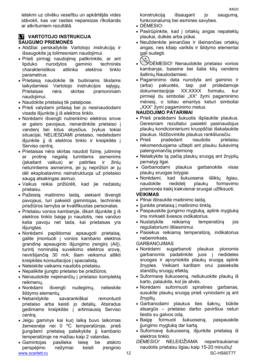ietekmi uz cilvēku veselību un apkārtējās vides stāvokli, kas var rasties nepareizas rīkošanās ar atkritumiem rezultātā.

### **LT VARTOTOJO INSTRUKCIJA SAUGUMO PRIEMONĖS**

- Atidžiai perskaitykite Vartotojo instrukciją ir išsaugokite ją tolimesniam naudojimui.
- Prieš pirmąjį naudojimą patikrinkite, ar ant lipduko nurodytos gaminio techninės charakteristikos atitinka elektros tinklo parametrus.
- Prietaisa naudokite tik buitiniams tikslams laikydamiesi Vartotojo instrukcijos sąlygų. Prietaisas nėra skirtas pramoniniam naudojimui.
- Naudokite prietaisa tik patalpose.
- Prieš valydami pritaisą bei jo nesinaudodami visada išjunkite jį iš elektros tinklo.
- Norėdami išvengti nutrenkimo elektros srove ar gaisro pavojaus, nenardinkite prietaiso į vandenį bei kitus skysčius. Įvykus tokiai situacijai, NELIESDAMI prietaiso, nedelsdami išjunkite jį iš elektros tinklo ir kreipkitės į Serviso centrą.
- Prietaisas nėra skirtas naudoti fizinę, jutiminę ar protinę negalią turintiems asmenims (įskaitant vaikus) ar patirties ir žinių neturintiems asmenims, jei jų neprižiūri ar jų dėl eksploatavimo neinstruktuoja už prietaiso saugą atsakingas asmuo.
- Vaikus reikia prižiūrėti, kad jie nežaistų prietaisu.
- Pažeistą maitinimo laidą, siekiant išvengti pavojaus, turi pakeisti gamintojas, techninės priežiūros tarnyba ar kvalifikuotas personalas.
- Prietaisu vonios kambaryje, iškart išjunkite jį iš elektros tinklo baigę jo naudotis, nes vanduo kelia pavoju net tada, kai prietaisas yra išiungtas.
- Norėdami papildomai apsaugoti prietaisą, galite įmontuoti į vonios kambario elektros grandinę apsauginio išjungimo įrenginį (AIĮ), turintį nominalią suveikimo elektros srovę, neviršijančią 30 mA; šiam veiksmui atlikti kreipkitės konsultacijos į specialistą.
- Neleiskite vaikams naudotis prietaisu.
- Nepalikite įjungto prietaiso be priežiūros.
- Nenaudokite neieinančių į prietaiso komplekta reikmenų.
- Norėdami išvengti nudegimų, nelieskite šildymo elementų.
- Nebandykite savarankiškai remontuoti prietaiso arba keisti jo detalių. Atsiradus gedimams kreipkitės į artimiausią Serviso centrą.
- Jeigu gaminys kai kurį laiką buvo laikomas žemesnėje nei 0 ºC temperatūroje, prieš įjungdami prietaisą palaikykite jį kambario temperatūroje ne mažiau kaip 2 valandas.
- www.scarlett.ru 12 SC-HS60T77 Gamintojas pasilieka teisę be atskiro perspėjimo nežymiai keisti įrenginio

konstrukciją išsaugant jo saugumą, funkcionalumą bei esmines savybes.

- DĖMESIO:
- Pasirūpinkite, kad į ortakių angas nepatektų plaukai, dulkės arba pūkai.
- Neuždenkite įeinančias ir išeinančias ortakių angas, nes kitaip variklis ir šildymo elementai gali sudegti.
	-
- DĖMESIO! Nenaudokite prietaiso vonios kambaryje, baseine bei šalia kitų vandens šaltinių.Naudodamiesi.
- Pagaminimo data nurodyta ant gaminio ir (arba) pakuotės, taip pat pridedamoje dokumentacijoje XX.XXXX formatu, kur pirmieji du simboliai "XX" žymi pagaminimo mėnesį, o toliau einantys keturi simboliai "XXX" žymi pagaminimo metus.

#### **NAUDOJIMO PATARIMAI**

- Prieš pradėdami šukuotis išplaukite plaukus. Geresniam rezultatui pasiekti pasinaudojus plaukų kondicionieriumi kruopščiai išskalaukite plaukus. Išdžiovinkite plaukus rankšluosčiu.
- Prieš pradedant naudotis prietaisu rekomenduojama užtepti ant plauku šukavimą palengvinančią priemonę.
- Nelaikykite tą pačią plaukų sruogą ant žnyplių pernelyg ilgai.
- Garbanodami plaukus garbanokite visas plaukų sruogas tolygiai.
- Norėdami, kad šukuosena išliktų ilgiau, naudokite nedidelį plaukų formavimo priemonės kiekį kiekvienai sruogai užfiksuoti.

#### **VEIKIMAS**

- Pilnai ištraukite maitinimo laidą.
- liunkite prietaisa į maitinimo tinklą.
- Paspauskite įjungimo mygtuką, aplink mygtuką ims mirksėti šviesos indikatorius.
- Nustatykite reikiamą temperatūrą jos reguliatoriumi ištiesinimui.
- Pasiekus reikiamą temperatūrą, indikatorius nebemirksės.
- GARBANOJIMAS
- Norėdami sugarbanoti plaukus plonomis garbanomis padalinkite juos į nedideles sruogas ir apvyniokite plaukų sruogą aplink žnyples. Veikiant karštam orui pasieksite standžių sruogų efektą.
- Suformavę šukuoseną, nešukuokite plaukų iš karto, palaukite, kol jie atvės.
- Norėdami suformuoti spiralines garbanas, susukite plaukų sruogą prieš vyniodami ją ant žnyplių.
- Garbanodami plaukus ties šaknų, būkite atsargūs – prietaiso darbo paviršius neturi liestis su galvos odą.
- Baige formuoti šukuosena, paspauskite įjungimo mygtuką dar kartą.
- Suformavę šukuoseną, išjunkite prietaisą iš elektros tinklo.
- *DĖMESIO!* NELEIDŽIAMA nepertraukiamai naudotis prietaisu ilgiau kaip 15-20 minučių!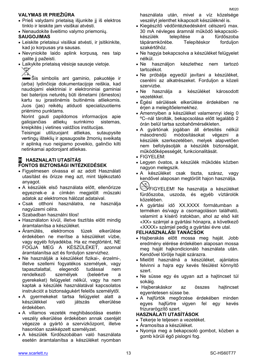### **VALYMAS IR PRIEŽIŪRA**

- Prieš valydami prietaisą išjunkite jį iš elektros tinklo ir leiskite jam visiškai atvėsti.
- Nenaudokite šveitimo valymo priemonių.

#### **SAUGOJIMAS**

- Leiskite prietaisui visiškai atvėsti, ir įsitikinkite, kad jo korpusas yra sausas.
- Nevyniokite laido aplink korpusą, nes taip galite jį pažeisti.
- Laikykite prietaisą vėsioje sausoje vietoje. X.

Šis simbolis ant gaminio, pakuotėje ir (arba) lydinčioje dokumentacijoje reiškia, kad naudojami elektriniai ir elektroniniai gaminiai bei baterijos neturėtų būti išmetami (išmestos) kartu su įprastinėmis buitinėmis atliekomis. Juos (jas) reikėtų atiduoti specializuotiems priėmimo punktams.

Norint gauti papildomos informacijos apie galiojančias atliekų surinkimo sistemas, kreipkitės į vietines valdžios institucijas.

Teisingai utilizuojant atliekas, sutaupysite vertingų išteklių ir apsaugosite žmonių sveikatą ir aplinką nuo neigiamo poveikio, galinčio kilti netinkamai apdorojant atliekas.

#### **H HASZNALATI UTASÍTÁS FONTOS BIZTONSÁGI INTÉZKEDÉSEK**

- Figyelmesen olvassa el az adott Használati utasítást és őrizze meg azt, mint tájékoztató anyagot.
- A készülék első használata előtt, ellenőrizze egyeznek-e a címkén megjelölt műszaki adatok az elektromos hálózat adataival.
- Csak otthoni használatra, ne használja nagyüzemi célra.
- Szabadban használni tilos!
- Használaton kívül, illetve tisztítás előtt mindig áramtalanítsa a készüléket.
- Áramütés, elektromos tüzek elkerülése érdekében ne merítse a készüléket vízbe, vagy egyéb folyadékba. Ha ez megtörtént, NE FOGJA MEG A KÉSZÜLÉKET, azonnal áramtalanítsa azt és forduljon szervizhez.
- Ne használják a készüléket fizikai-, érzelmi-, illetve szellemi fogyatékos személyek, vagy tapasztalattal, elegendő tudással nem rendelkező személyek (beleértve a gyerekeket) felügyelet nélkül, vagy ha nem kaptak a készülék használatával kapcsolatos instrukciót a biztonságukért felelős személytől.
- A gyermekeket tartsa felügyelet alatt a készülékkel való játszás érdekében.
- A villamos vezeték meghibásodása esetén veszély elkerülése érdekében annak cseréjét végezze a gyártó a szervizközpont, illetve hasonlóan szakképzett személyzet.
- A készülék fürdőszobában való használata esetén áramtalanítsa a készüléket nyomban

használata után, mivel a víz közelsége veszélyt jelenthet kikapcsolt készüléknél is.

- Kiegészítő védőintézkedésként célszerű max. 30 mA névleges áramnál működő lekapcsolókészülék telepítése a fürdőszoba tápáramkörébe. Telepítéskor forduljon szakértőhöz.
- Ne hagyja bekapcsolva a készüléket felügyelet nélkül.
- Ne használjon készlethez nem tartozó tartozékot.
- Ne próbálja egyedül javítani a készüléket, cserélni az alkatrészeket. Forduljon a közeli szervizbe.
- Ne használja a készüléket károsodott vezetékkel.
- Égési sérülések elkerülése érdekében ne érjen a melegítőelemekhez.
- Amennyiben a készüléket valamennyi ideig 0 ºC–nál tárolták, bekapcsolása előtt legalább 2 órán belül tartsa szobahőmérsékleten.
- A gyártónak jogában áll értesítés nélkül másodrendű módosításokat végezni a készülék szerkezetében, melyek alapvetően nem befolyásolják a készülék biztonságát, működőképességét, funkcionalitását.
- FIGYELEM:
- Legyen óvatos, a készülék működés közben nagyon melegszik.
- A készüléket csak tiszta, száraz, vagy kendővel alaposan megtörölt hajon használja.
- FIGYELEM! Ne használja a készüléket fürdőszoba, uszoda, és egyéb víztárolók közelében.
- A gyártási idő XX.XXXX formátumban a terméken és/vagy a csomagoláson található, valamint a kísérő iratokban, ahol az első két «XX» számjel a gyártási hónapra, a következő «XXXX» számjel pedig a gyártási évre utal.

#### **FELHASZNÁLÁSI TANÁCSOK**

- Hajberakás előtt mossa meg haját. Jobb eredmény elérése érdekében alaposan mossa meg haját hajkondicionáló használata után. Kendővel törölje haját szárazra.
- Mielőtt használná a készüléket, ajánlatos felvinni a hajra egy kevés fésülést könnyítő szert.
- Ne süsse egy és ugyan azt a hajtincset túl sokáig.
- Hajberakáskor az összes hajtincset egyenletesen süsse be.
- A hajfürtök megőrzése érdekében minden egyes hajfürtre vigyen fel egy kevés frizurarögzítő szert.

#### **HASZNÁLATI UTASÍTÁSOK**

- Tekerje le teljesen a vezetéket.
- Áramosítsa a készüléket.
- Nyomja meg a bekapcsoló gombot, közben a gomb körüli égő pislogni fog.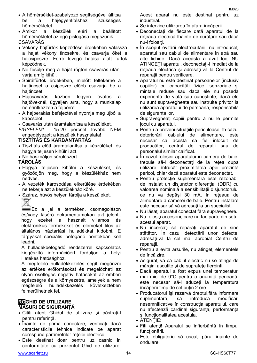- A hőmérséklet-szabályozó segítségével állítsa be a hajegyenlítéshez szükséges hőmérsékletet.
- Amikor a készülék eléri a beállított hőmérsékletet az égő pislogása megszűnik. CSAVARÁS
- Vékony hajfürtök képződése érdekében válassza a hajat vékony tincsekre, és csavarja őket a hajcsipeszre. Forró levegő hatása alatt fürtök képződnek.
- Ne fésülje meg a hajat rögtön csavarás után, várja amíg kihűl.
- Spirálfürtök érdekében, mielőtt feltekerné a hajtincset a csipeszre előbb csavarja be a hajtincset.
- Hajcsavarás közben legyen óvatos a hajtöveknél, ügyeljen arra, hogy a munkalap ne érintkezzen a fejbőrrel.
- A hajberakás befejeztével nyomja meg újból a kapcsolót.
- Csavarás után áramtalanítsa a készüléket.

*FIGYELEM!* 15-20 percnél tovább NEM engedélyezett a készülék használata!

#### **TISZTÍTÁS ÉS KARBANTARTÁS**

- Tisztítás előtt áramtalanítsa a készüléket, és hagyja teljesen kihűlni azt.
- Ne használjon súrolószert.

### **TÁROLÁS**

- Hagyja teljesen kihűlni a készüléket, és győződjön meg, hogy a készülékház nem nedves.
- A vezeték károsodása elkerülése érdekében ne tekerje azt a készülékház köré.
- Száraz, hűvös helyen tárolja a készüléket.

Ez a jel a terméken, csomagoláson és/vagy kísérő dokumentumokon azt jelenti, hogy ezeket a használt villamos és elektronikus termékeket és elemeket tilos az általános háztartási hulladékkal kidobni. E tárgyakat speciális befogadó pontokban kell leadni.

A hulladékbefogadó rendszerrel kapcsolatos kiegészítő információért forduljon a helyi illetékes hatósághoz.

A megfelelő hulladékkezelés segít megőrizni az értékes erőforrásokat és megelőzheti az olyan esetleges negatív hatásokat az emberi egészségre és a környezetre, amelyek a nem megfelelő hulladékkezelés következtében felmerülhetnek fel.

#### **ROGHID DE UTILIZARE MĂSURI DE SIGURANŢĂ**

- Citiţi atent Ghidul de utilizare şi păstraţi-l pentru referință.
- Înainte de prima conectare, verificați dacă caracteristicile tehnice indicate pe aparat corespund parametrilor reţelei electrice.
- Este destinat doar pentru uz casnic în conformitate cu prezentul Ghid de utilizare.

Acest aparat nu este destinat pentru uz industrial.

- Se interzice utilizarea în afara încăperii.
- Deconectaţi de fiecare dată aparatul de la rețeaua electrică înaințe de curățare sau dacă nu-l folositi.
- În scopul evitării electrocutării, nu introduceţi aparatul sau cablul de alimentare în apă sau alte lichide. Dacă aceasta a avut loc, NU ATINGETI aparatul, deconectati-l imediat de la reţeaua electrică şi adresaţi-vă la Centrul de reparații pentru verificare.
- Aparatul nu este destinat persoanelor (inclusiv copiilor) cu capacități fizice, senzoriale și mintale reduse sau dacă ele nu posedă experiență de viață sau cunoștințe, dacă ele nu sunt supravegheate sau instruite privitor la utilizarea aparatului de persoana, responsabilă de siguranța lor.
- Supravegheați copiii pentru a nu le permite jocul cu aparatul.
- Pentru a preveni situațiile periculoase, în cazul deteriorării cablului de alimentare, este necesar ca acesta sa fie înlocuit de producător, centrul de reparații sau de personalul similar calificat.
- În cazul folosirii aparatului în camera de baie, trebuie să-l deconectaţi de la reţea după utilizare, întrucât proximitatea apei prezintă pericol, chiar dacă aparatul este deconectat.
- Pentru protecţie suplimentară este rezonabil de instalat un disjunctor diferenţial (DDR) cu valoarea nominală a sensibilităţii disjunctorului ce nu va depăşi 30 mA, în reţeaua de alimentare a camerei de baie. Pentru instalare este necesar să vă adresați la un specialist.
- Nu lăsați aparatul conectat fără supraveghere.
- Nu folosiţi accesorii, care nu fac parte din setul acestui aparat.
- Nu încercaţi să reparaţi aparatul de sine stătător. În cazul detectării unor defecte, adresati-vă la cel mai apropiat Centru de reparatii.
- Pentru a evita arsurile, nu atingeţi elementele de încălzire.
- Asiguraţi-vă că cablul electric nu se atinge de mărgini ascuţite şi de suprafeţe fierbinţi.
- Dacă aparatul a fost expus unei temperaturi mai mici de 0°C pentru o anumită perioadă, este necesar să-l aduceţi la temperatura încăperii timp de cel putin 2 ore.
- Producătorul îşi rezervă dreptul,fără informare suplimentară, să introducă modificări nesemnificative în construcția aparatului, care nu afectează cardinal siguranța, performanța şi funcţionalitatea acestuia.
- ATENTIE:
- Fiţi atenţi! Aparatul se înfierbântă în timpul funcţionării.
- Este obligatoriu să uscaţi părul înainte de ondulare.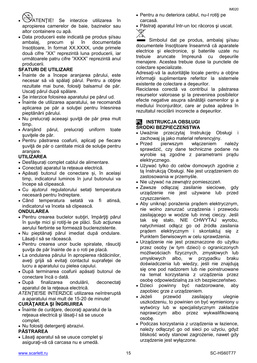ATENŢIE! Se interzice utilizarea în apropierea camerelor de baie, bazinelor sau altor containere cu apă.

 Data producerii este indicată pe produs și/sau ambalaj, precum și în documentația însotitoare, în format XX.XXXX, unde primele două cifre "XX" reprezintă luna producerii, iar următoarele patru cifre "XXXX" reprezintă anul producerii.

#### **SFATURI DE UTILIZARE**

- Înainte de a începe aranjarea părului, este necesar să vă spălaţi părul. Pentru a obţine rezultate mai bune, folositi balsamul de păr. Uscaţi părul după spălare.
- Se interzice folosirea aparatului pe părul ud.
- Înainte de utilizarea aparatului, se recomandă aplicarea pe păr a soluţiei pentru înlesnirea pieptănării părului.
- Nu prelucrați aceeași șuviță de păr prea mult timp.
- Aranjând părul, prelucraţi uniform toate suvitele de păr.
- Pentru păstrarea coafurii, aplicaţi pe fiecare şuviţă de păr o cantitate mică de soluţie pentru aranjare.

#### **UTILIZAREA**

- Desfășurați complet cablul de alimentare.
- Conectați aparatul la rețeaua electrică.
- Apăsați butonul de conectare și, în același timp, indicatorul luminos în jurul butonului va începe să clipească.
- Cu ajutorul regulatorului setați temperatura necesară pentru îndreptare.
- Când temperatura setată va fi atinsă, indicatorul va înceta să clipească.

#### **ONDULAREA**

- Pentru crearea buclelor subţiri, împărţiţi părul în suvite mici și rotiti-le pe plăci. Sub actiunea aerului fierbinte se formează buclerezistente.
- Nu pieptănaţi părul imediat după ondulare. Lăsați-l să se răcească.
- Pentru crearea unor bucle spiralate, răsuciti şuviţa de păr înainte de a o roti pe placă.
- La ondularea părului în apropierea rădăcinilor, aveţi grijă să evitaţi contactul suprafeţei de lucru a aparatului cu pielea capului.
- După terminarea coafurii apăsați butonul de conectare încă o dată.
- După finalizarea ondulării, deconectaţi aparatul de la reţeaua electrică.
- *ATENŢIE!*SE INTERZICE utilizarea neîntreruptă a aparatului mai mult de 15-20 de minute!

#### **CURĂŢAREA ŞI ÎNGRIJIREA**

- Înainte de curătare, decorați aparatul de la reţeaua electrică şi lăsaţi-l să se usuce complet.
- Nu folosiţi detergenţi abrazivi.

#### **PĂSTRAREA**

• Lăsați aparatul să se usuce complet și asiguraţi-vă că carcasa nu e umedă.

- Pentru a nu deteriora cablul, nu-l rotiţi pe carcasă.
- Păstraţi aparatul într-un loc răcoros şi uscat.

 $\overline{\mathbb{X}}$ 

 Simbolul dat pe produs, ambalaj şi/sau documentele însoțitoare înseamnă că aparatele electrice şi electronice, şi bateriile uzate nu trebuie aruncate împreună cu deşeurile menajere. Acestea trebuie duse la punctele de colectare specializate.

Adresaţi-vă la autorităţile locale pentru a obţine informatii suplimentare referitor la sistemele existente de colectare a deşeurilor.

Reciclarea corectă va contribui la păstrarea resurselor valoroase şi la prevenirea posibilelor efecte negative asupra sănătății oamenilor și a mediului înconjurător, care ar putea apărea în rezultatul reciclării incorecte a deşeurilor.

#### **PL INSTRUKCJA OBSŁUGI ŚRODKI BEZPIECZEŃSTWA**

- Uważnie przeczytaj Instrukcję Obsługi i zachowaj ją jako materiał referencyjny.
- Przed pierwszym włączeniem należy sprawdzić, czy dane techniczne podane na wyrobie są zgodne z parametrami prądu elektrycznego.
- Używać tylko do celów domowych zgodnie z tą Instrukcją Obsługi. Nie jest urządzeniem do zastosowania w przemyśle.
- Nie używać na zewnątrz pomieszczeń.
- Zawsze odłączaj zasilanie sieciowe, gdy urządzenie nie jest używane lub przed czyszczeniem.
- Aby uniknąć porażenia prądem elektrycznym, nie wolno zanurzać urządzenia i przewodu zasilającego w wodzie lub innej cieczy. Jeśli tak się stało, NIE CHWYTAJ wyrobu, natychmiast odłącz go od źródła zasilania prądem elektrycznym i skontaktuj się z Punktem Serwisowym w celu sprawdzenia.
- Urządzenie nie jest przeznaczone do użytku przez osoby (w tym dzieci) o ograniczonych możliwościach fizycznych, zmysłowych lub umysłowych albo, w przypadku braku doświadczenia lub wiedzy, jeśli nie znajdują się one pod nadzorem lub nie poinstruowane na temat korzystania z urządzenia przez osobę odpowiedzialną za ich bezpieczeństwo.
- Dzieci powinny być nadzorowane, aby zapobiec grze z urządzeniem.
- Jeżeli przewód zasilający ulegnie uszkodzeniu, to powinien on być wymieniony u wytwórcy lub w specjalistycznym zakładzie naprawczym albo przez wykwalifikowaną osobę.
- Podczas korzystania z urządzenia w łazience, należy odłączyć go od sieci po użyciu, gdyż bliskość wody stanowi zagrożenie, nawet gdy urządzenie jest wyłączone.